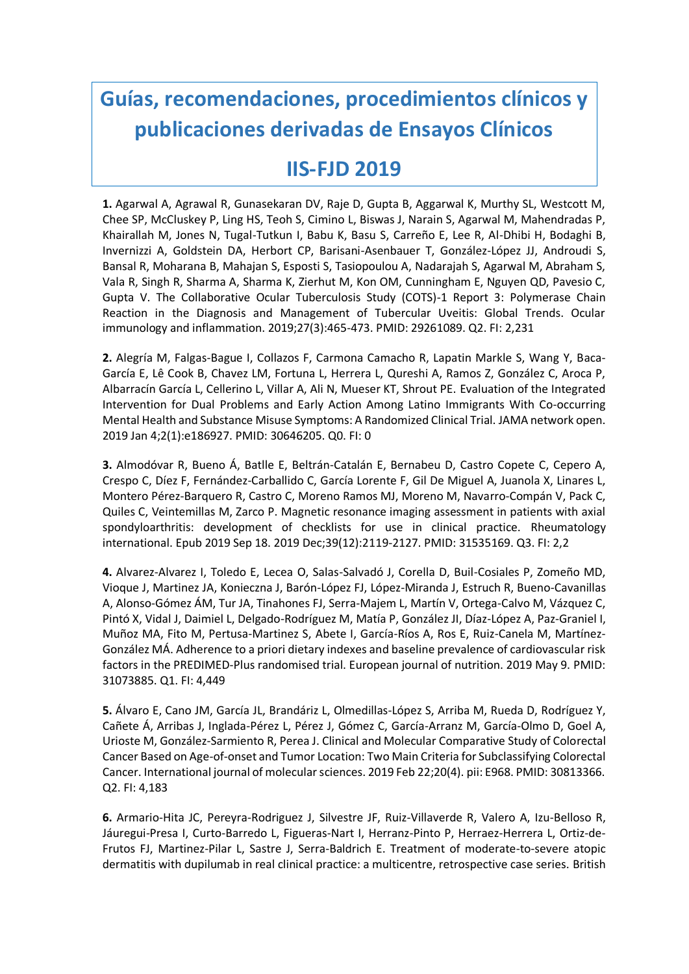## **Guías, recomendaciones, procedimientos clínicos y publicaciones derivadas de Ensayos Clínicos**

## **IIS-FJD 2019**

**1.** Agarwal A, Agrawal R, Gunasekaran DV, Raje D, Gupta B, Aggarwal K, Murthy SL, Westcott M, Chee SP, McCluskey P, Ling HS, Teoh S, Cimino L, Biswas J, Narain S, Agarwal M, Mahendradas P, Khairallah M, Jones N, Tugal-Tutkun I, Babu K, Basu S, Carreño E, Lee R, Al-Dhibi H, Bodaghi B, Invernizzi A, Goldstein DA, Herbort CP, Barisani-Asenbauer T, González-López JJ, Androudi S, Bansal R, Moharana B, Mahajan S, Esposti S, Tasiopoulou A, Nadarajah S, Agarwal M, Abraham S, Vala R, Singh R, Sharma A, Sharma K, Zierhut M, Kon OM, Cunningham E, Nguyen QD, Pavesio C, Gupta V. The Collaborative Ocular Tuberculosis Study (COTS)-1 Report 3: Polymerase Chain Reaction in the Diagnosis and Management of Tubercular Uveitis: Global Trends. Ocular immunology and inflammation. 2019;27(3):465-473. PMID: 29261089. Q2. FI: 2,231

**2.** Alegría M, Falgas-Bague I, Collazos F, Carmona Camacho R, Lapatin Markle S, Wang Y, Baca-García E, Lê Cook B, Chavez LM, Fortuna L, Herrera L, Qureshi A, Ramos Z, González C, Aroca P, Albarracín García L, Cellerino L, Villar A, Ali N, Mueser KT, Shrout PE. Evaluation of the Integrated Intervention for Dual Problems and Early Action Among Latino Immigrants With Co-occurring Mental Health and Substance Misuse Symptoms: A Randomized Clinical Trial. JAMA network open. 2019 Jan 4;2(1):e186927. PMID: 30646205. Q0. FI: 0

**3.** Almodóvar R, Bueno Á, Batlle E, Beltrán-Catalán E, Bernabeu D, Castro Copete C, Cepero A, Crespo C, Díez F, Fernández-Carballido C, García Lorente F, Gil De Miguel A, Juanola X, Linares L, Montero Pérez-Barquero R, Castro C, Moreno Ramos MJ, Moreno M, Navarro-Compán V, Pack C, Quiles C, Veintemillas M, Zarco P. Magnetic resonance imaging assessment in patients with axial spondyloarthritis: development of checklists for use in clinical practice. Rheumatology international. Epub 2019 Sep 18. 2019 Dec;39(12):2119-2127. PMID: 31535169. Q3. FI: 2,2

**4.** Alvarez-Alvarez I, Toledo E, Lecea O, Salas-Salvadó J, Corella D, Buil-Cosiales P, Zomeño MD, Vioque J, Martinez JA, Konieczna J, Barón-López FJ, López-Miranda J, Estruch R, Bueno-Cavanillas A, Alonso-Gómez ÁM, Tur JA, Tinahones FJ, Serra-Majem L, Martín V, Ortega-Calvo M, Vázquez C, Pintó X, Vidal J, Daimiel L, Delgado-Rodríguez M, Matía P, González JI, Díaz-López A, Paz-Graniel I, Muñoz MA, Fito M, Pertusa-Martinez S, Abete I, García-Ríos A, Ros E, Ruiz-Canela M, Martínez-González MÁ. Adherence to a priori dietary indexes and baseline prevalence of cardiovascular risk factors in the PREDIMED-Plus randomised trial. European journal of nutrition. 2019 May 9. PMID: 31073885. Q1. FI: 4,449

**5.** Álvaro E, Cano JM, García JL, Brandáriz L, Olmedillas-López S, Arriba M, Rueda D, Rodríguez Y, Cañete Á, Arribas J, Inglada-Pérez L, Pérez J, Gómez C, García-Arranz M, García-Olmo D, Goel A, Urioste M, González-Sarmiento R, Perea J. Clinical and Molecular Comparative Study of Colorectal Cancer Based on Age-of-onset and Tumor Location: Two Main Criteria for Subclassifying Colorectal Cancer. International journal of molecular sciences. 2019 Feb 22;20(4). pii: E968. PMID: 30813366. Q2. FI: 4,183

**6.** Armario-Hita JC, Pereyra-Rodriguez J, Silvestre JF, Ruiz-Villaverde R, Valero A, Izu-Belloso R, Jáuregui-Presa I, Curto-Barredo L, Figueras-Nart I, Herranz-Pinto P, Herraez-Herrera L, Ortiz-de-Frutos FJ, Martinez-Pilar L, Sastre J, Serra-Baldrich E. Treatment of moderate-to-severe atopic dermatitis with dupilumab in real clinical practice: a multicentre, retrospective case series. British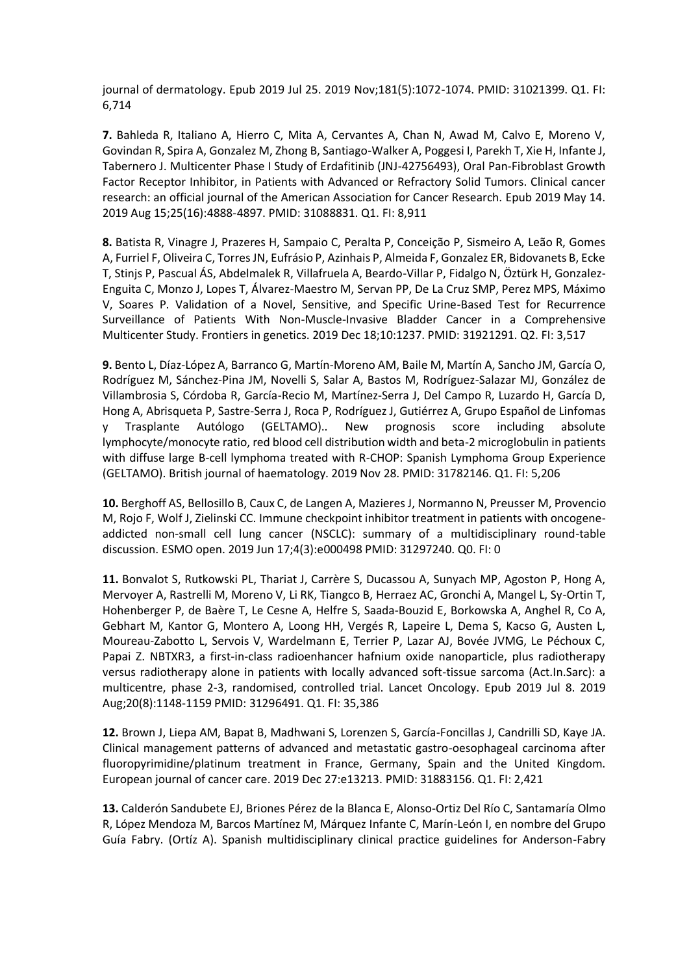journal of dermatology. Epub 2019 Jul 25. 2019 Nov;181(5):1072-1074. PMID: 31021399. Q1. FI: 6,714

**7.** Bahleda R, Italiano A, Hierro C, Mita A, Cervantes A, Chan N, Awad M, Calvo E, Moreno V, Govindan R, Spira A, Gonzalez M, Zhong B, Santiago-Walker A, Poggesi I, Parekh T, Xie H, Infante J, Tabernero J. Multicenter Phase I Study of Erdafitinib (JNJ-42756493), Oral Pan-Fibroblast Growth Factor Receptor Inhibitor, in Patients with Advanced or Refractory Solid Tumors. Clinical cancer research: an official journal of the American Association for Cancer Research. Epub 2019 May 14. 2019 Aug 15;25(16):4888-4897. PMID: 31088831. Q1. FI: 8,911

**8.** Batista R, Vinagre J, Prazeres H, Sampaio C, Peralta P, Conceição P, Sismeiro A, Leão R, Gomes A, Furriel F, Oliveira C, Torres JN, Eufrásio P, Azinhais P, Almeida F, Gonzalez ER, Bidovanets B, Ecke T, Stinjs P, Pascual ÁS, Abdelmalek R, Villafruela A, Beardo-Villar P, Fidalgo N, Öztürk H, Gonzalez-Enguita C, Monzo J, Lopes T, Álvarez-Maestro M, Servan PP, De La Cruz SMP, Perez MPS, Máximo V, Soares P. Validation of a Novel, Sensitive, and Specific Urine-Based Test for Recurrence Surveillance of Patients With Non-Muscle-Invasive Bladder Cancer in a Comprehensive Multicenter Study. Frontiers in genetics. 2019 Dec 18;10:1237. PMID: 31921291. Q2. FI: 3,517

**9.** Bento L, Díaz-López A, Barranco G, Martín-Moreno AM, Baile M, Martín A, Sancho JM, García O, Rodríguez M, Sánchez-Pina JM, Novelli S, Salar A, Bastos M, Rodríguez-Salazar MJ, González de Villambrosia S, Córdoba R, García-Recio M, Martínez-Serra J, Del Campo R, Luzardo H, García D, Hong A, Abrisqueta P, Sastre-Serra J, Roca P, Rodríguez J, Gutiérrez A, Grupo Español de Linfomas y Trasplante Autólogo (GELTAMO).. New prognosis score including absolute lymphocyte/monocyte ratio, red blood cell distribution width and beta-2 microglobulin in patients with diffuse large B-cell lymphoma treated with R-CHOP: Spanish Lymphoma Group Experience (GELTAMO). British journal of haematology. 2019 Nov 28. PMID: 31782146. Q1. FI: 5,206

**10.** Berghoff AS, Bellosillo B, Caux C, de Langen A, Mazieres J, Normanno N, Preusser M, Provencio M, Rojo F, Wolf J, Zielinski CC. Immune checkpoint inhibitor treatment in patients with oncogeneaddicted non-small cell lung cancer (NSCLC): summary of a multidisciplinary round-table discussion. ESMO open. 2019 Jun 17;4(3):e000498 PMID: 31297240. Q0. FI: 0

**11.** Bonvalot S, Rutkowski PL, Thariat J, Carrère S, Ducassou A, Sunyach MP, Agoston P, Hong A, Mervoyer A, Rastrelli M, Moreno V, Li RK, Tiangco B, Herraez AC, Gronchi A, Mangel L, Sy-Ortin T, Hohenberger P, de Baère T, Le Cesne A, Helfre S, Saada-Bouzid E, Borkowska A, Anghel R, Co A, Gebhart M, Kantor G, Montero A, Loong HH, Vergés R, Lapeire L, Dema S, Kacso G, Austen L, Moureau-Zabotto L, Servois V, Wardelmann E, Terrier P, Lazar AJ, Bovée JVMG, Le Péchoux C, Papai Z. NBTXR3, a first-in-class radioenhancer hafnium oxide nanoparticle, plus radiotherapy versus radiotherapy alone in patients with locally advanced soft-tissue sarcoma (Act.In.Sarc): a multicentre, phase 2-3, randomised, controlled trial. Lancet Oncology. Epub 2019 Jul 8. 2019 Aug;20(8):1148-1159 PMID: 31296491. Q1. FI: 35,386

**12.** Brown J, Liepa AM, Bapat B, Madhwani S, Lorenzen S, García-Foncillas J, Candrilli SD, Kaye JA. Clinical management patterns of advanced and metastatic gastro-oesophageal carcinoma after fluoropyrimidine/platinum treatment in France, Germany, Spain and the United Kingdom. European journal of cancer care. 2019 Dec 27:e13213. PMID: 31883156. Q1. FI: 2,421

**13.** Calderón Sandubete EJ, Briones Pérez de la Blanca E, Alonso-Ortiz Del Río C, Santamaría Olmo R, López Mendoza M, Barcos Martínez M, Márquez Infante C, Marín-León I, en nombre del Grupo Guía Fabry. (Ortíz A). Spanish multidisciplinary clinical practice guidelines for Anderson-Fabry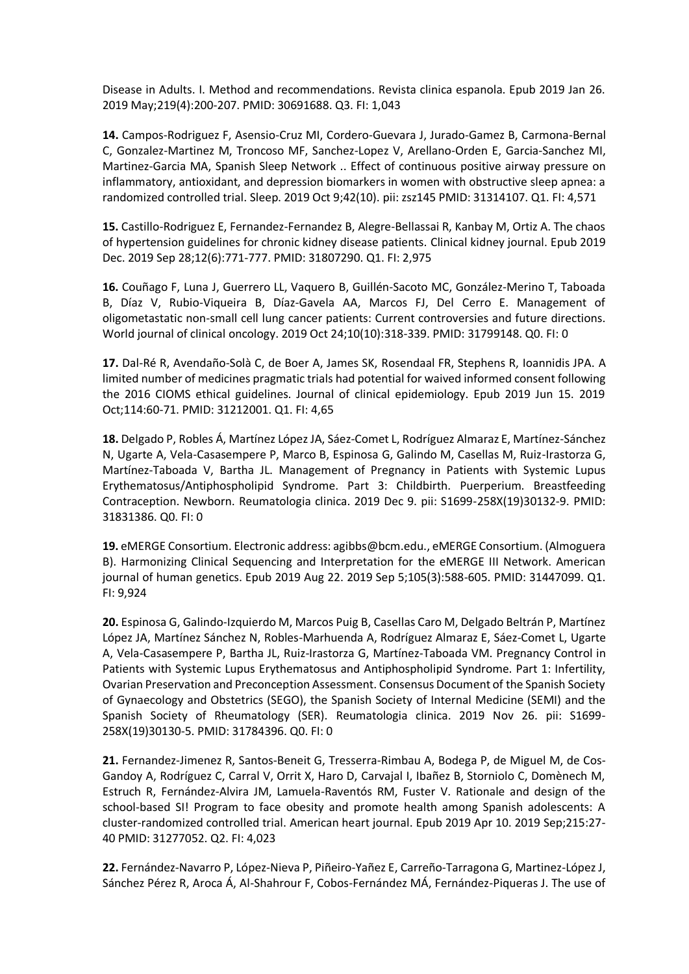Disease in Adults. I. Method and recommendations. Revista clinica espanola. Epub 2019 Jan 26. 2019 May;219(4):200-207. PMID: 30691688. Q3. FI: 1,043

**14.** Campos-Rodriguez F, Asensio-Cruz MI, Cordero-Guevara J, Jurado-Gamez B, Carmona-Bernal C, Gonzalez-Martinez M, Troncoso MF, Sanchez-Lopez V, Arellano-Orden E, Garcia-Sanchez MI, Martinez-Garcia MA, Spanish Sleep Network .. Effect of continuous positive airway pressure on inflammatory, antioxidant, and depression biomarkers in women with obstructive sleep apnea: a randomized controlled trial. Sleep. 2019 Oct 9;42(10). pii: zsz145 PMID: 31314107. Q1. FI: 4,571

**15.** Castillo-Rodriguez E, Fernandez-Fernandez B, Alegre-Bellassai R, Kanbay M, Ortiz A. The chaos of hypertension guidelines for chronic kidney disease patients. Clinical kidney journal. Epub 2019 Dec. 2019 Sep 28;12(6):771-777. PMID: 31807290. Q1. FI: 2,975

**16.** Couñago F, Luna J, Guerrero LL, Vaquero B, Guillén-Sacoto MC, González-Merino T, Taboada B, Díaz V, Rubio-Viqueira B, Díaz-Gavela AA, Marcos FJ, Del Cerro E. Management of oligometastatic non-small cell lung cancer patients: Current controversies and future directions. World journal of clinical oncology. 2019 Oct 24;10(10):318-339. PMID: 31799148. Q0. FI: 0

**17.** Dal-Ré R, Avendaño-Solà C, de Boer A, James SK, Rosendaal FR, Stephens R, Ioannidis JPA. A limited number of medicines pragmatic trials had potential for waived informed consent following the 2016 CIOMS ethical guidelines. Journal of clinical epidemiology. Epub 2019 Jun 15. 2019 Oct;114:60-71. PMID: 31212001. Q1. FI: 4,65

**18.** Delgado P, Robles Á, Martínez López JA, Sáez-Comet L, Rodríguez Almaraz E, Martínez-Sánchez N, Ugarte A, Vela-Casasempere P, Marco B, Espinosa G, Galindo M, Casellas M, Ruiz-Irastorza G, Martínez-Taboada V, Bartha JL. Management of Pregnancy in Patients with Systemic Lupus Erythematosus/Antiphospholipid Syndrome. Part 3: Childbirth. Puerperium. Breastfeeding Contraception. Newborn. Reumatologia clinica. 2019 Dec 9. pii: S1699-258X(19)30132-9. PMID: 31831386. Q0. FI: 0

**19.** eMERGE Consortium. Electronic address: agibbs@bcm.edu., eMERGE Consortium. (Almoguera B). Harmonizing Clinical Sequencing and Interpretation for the eMERGE III Network. American journal of human genetics. Epub 2019 Aug 22. 2019 Sep 5;105(3):588-605. PMID: 31447099. Q1. FI: 9,924

**20.** Espinosa G, Galindo-Izquierdo M, Marcos Puig B, Casellas Caro M, Delgado Beltrán P, Martínez López JA, Martínez Sánchez N, Robles-Marhuenda A, Rodríguez Almaraz E, Sáez-Comet L, Ugarte A, Vela-Casasempere P, Bartha JL, Ruiz-Irastorza G, Martínez-Taboada VM. Pregnancy Control in Patients with Systemic Lupus Erythematosus and Antiphospholipid Syndrome. Part 1: Infertility, Ovarian Preservation and Preconception Assessment. Consensus Document of the Spanish Society of Gynaecology and Obstetrics (SEGO), the Spanish Society of Internal Medicine (SEMI) and the Spanish Society of Rheumatology (SER). Reumatologia clinica. 2019 Nov 26. pii: S1699- 258X(19)30130-5. PMID: 31784396. Q0. FI: 0

**21.** Fernandez-Jimenez R, Santos-Beneit G, Tresserra-Rimbau A, Bodega P, de Miguel M, de Cos-Gandoy A, Rodríguez C, Carral V, Orrit X, Haro D, Carvajal I, Ibañez B, Storniolo C, Domènech M, Estruch R, Fernández-Alvira JM, Lamuela-Raventós RM, Fuster V. Rationale and design of the school-based SI! Program to face obesity and promote health among Spanish adolescents: A cluster-randomized controlled trial. American heart journal. Epub 2019 Apr 10. 2019 Sep;215:27- 40 PMID: 31277052. Q2. FI: 4,023

**22.** Fernández-Navarro P, López-Nieva P, Piñeiro-Yañez E, Carreño-Tarragona G, Martinez-LópezJ, Sánchez Pérez R, Aroca Á, Al-Shahrour F, Cobos-Fernández MÁ, Fernández-Piqueras J. The use of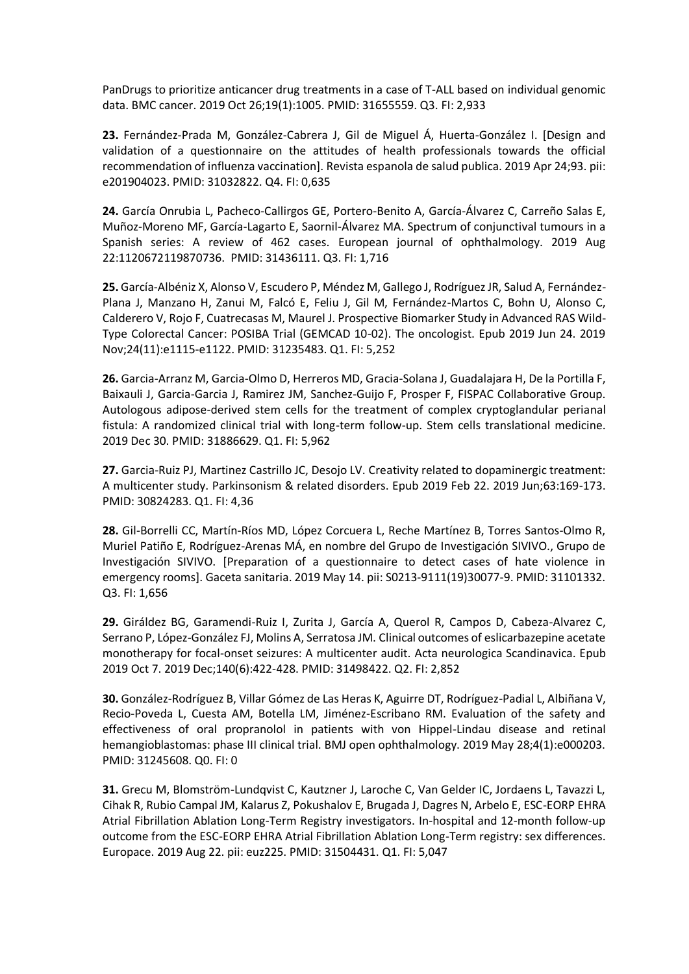PanDrugs to prioritize anticancer drug treatments in a case of T-ALL based on individual genomic data. BMC cancer. 2019 Oct 26;19(1):1005. PMID: 31655559. Q3. FI: 2,933

**23.** Fernández-Prada M, González-Cabrera J, Gil de Miguel Á, Huerta-González I. [Design and validation of a questionnaire on the attitudes of health professionals towards the official recommendation of influenza vaccination]. Revista espanola de salud publica. 2019 Apr 24;93. pii: e201904023. PMID: 31032822. Q4. FI: 0,635

**24.** García Onrubia L, Pacheco-Callirgos GE, Portero-Benito A, García-Álvarez C, Carreño Salas E, Muñoz-Moreno MF, García-Lagarto E, Saornil-Álvarez MA. Spectrum of conjunctival tumours in a Spanish series: A review of 462 cases. European journal of ophthalmology. 2019 Aug 22:1120672119870736. PMID: 31436111. Q3. FI: 1,716

**25.** García-Albéniz X, Alonso V, Escudero P, Méndez M, Gallego J, Rodríguez JR, Salud A, Fernández-Plana J, Manzano H, Zanui M, Falcó E, Feliu J, Gil M, Fernández-Martos C, Bohn U, Alonso C, Calderero V, Rojo F, Cuatrecasas M, Maurel J. Prospective Biomarker Study in Advanced RAS Wild-Type Colorectal Cancer: POSIBA Trial (GEMCAD 10-02). The oncologist. Epub 2019 Jun 24. 2019 Nov;24(11):e1115-e1122. PMID: 31235483. Q1. FI: 5,252

**26.** Garcia-Arranz M, Garcia-Olmo D, Herreros MD, Gracia-Solana J, Guadalajara H, De la Portilla F, Baixauli J, Garcia-Garcia J, Ramirez JM, Sanchez-Guijo F, Prosper F, FISPAC Collaborative Group. Autologous adipose-derived stem cells for the treatment of complex cryptoglandular perianal fistula: A randomized clinical trial with long-term follow-up. Stem cells translational medicine. 2019 Dec 30. PMID: 31886629. Q1. FI: 5,962

**27.** Garcia-Ruiz PJ, Martinez Castrillo JC, Desojo LV. Creativity related to dopaminergic treatment: A multicenter study. Parkinsonism & related disorders. Epub 2019 Feb 22. 2019 Jun;63:169-173. PMID: 30824283. Q1. FI: 4,36

**28.** Gil-Borrelli CC, Martín-Ríos MD, López Corcuera L, Reche Martínez B, Torres Santos-Olmo R, Muriel Patiño E, Rodríguez-Arenas MÁ, en nombre del Grupo de Investigación SIVIVO., Grupo de Investigación SIVIVO. [Preparation of a questionnaire to detect cases of hate violence in emergency rooms]. Gaceta sanitaria. 2019 May 14. pii: S0213-9111(19)30077-9. PMID: 31101332. Q3. FI: 1,656

**29.** Giráldez BG, Garamendi-Ruiz I, Zurita J, García A, Querol R, Campos D, Cabeza-Alvarez C, Serrano P, López-González FJ, Molins A, Serratosa JM. Clinical outcomes of eslicarbazepine acetate monotherapy for focal-onset seizures: A multicenter audit. Acta neurologica Scandinavica. Epub 2019 Oct 7. 2019 Dec;140(6):422-428. PMID: 31498422. Q2. FI: 2,852

**30.** González-Rodríguez B, Villar Gómez de Las Heras K, Aguirre DT, Rodríguez-Padial L, Albiñana V, Recio-Poveda L, Cuesta AM, Botella LM, Jiménez-Escribano RM. Evaluation of the safety and effectiveness of oral propranolol in patients with von Hippel-Lindau disease and retinal hemangioblastomas: phase III clinical trial. BMJ open ophthalmology. 2019 May 28;4(1):e000203. PMID: 31245608. Q0. FI: 0

**31.** Grecu M, Blomström-Lundqvist C, Kautzner J, Laroche C, Van Gelder IC, Jordaens L, Tavazzi L, Cihak R, Rubio Campal JM, Kalarus Z, Pokushalov E, Brugada J, Dagres N, Arbelo E, ESC-EORP EHRA Atrial Fibrillation Ablation Long-Term Registry investigators. In-hospital and 12-month follow-up outcome from the ESC-EORP EHRA Atrial Fibrillation Ablation Long-Term registry: sex differences. Europace. 2019 Aug 22. pii: euz225. PMID: 31504431. Q1. FI: 5,047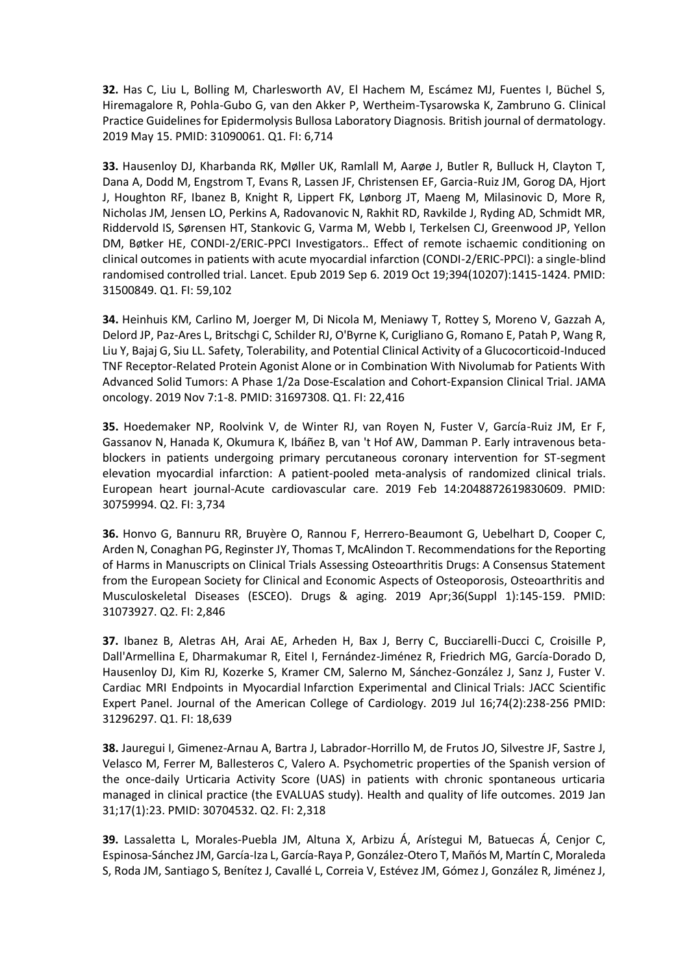**32.** Has C, Liu L, Bolling M, Charlesworth AV, El Hachem M, Escámez MJ, Fuentes I, Büchel S, Hiremagalore R, Pohla-Gubo G, van den Akker P, Wertheim-Tysarowska K, Zambruno G. Clinical Practice Guidelines for Epidermolysis Bullosa Laboratory Diagnosis. British journal of dermatology. 2019 May 15. PMID: 31090061. Q1. FI: 6,714

**33.** Hausenloy DJ, Kharbanda RK, Møller UK, Ramlall M, Aarøe J, Butler R, Bulluck H, Clayton T, Dana A, Dodd M, Engstrom T, Evans R, Lassen JF, Christensen EF, Garcia-Ruiz JM, Gorog DA, Hjort J, Houghton RF, Ibanez B, Knight R, Lippert FK, Lønborg JT, Maeng M, Milasinovic D, More R, Nicholas JM, Jensen LO, Perkins A, Radovanovic N, Rakhit RD, Ravkilde J, Ryding AD, Schmidt MR, Riddervold IS, Sørensen HT, Stankovic G, Varma M, Webb I, Terkelsen CJ, Greenwood JP, Yellon DM, Bøtker HE, CONDI-2/ERIC-PPCI Investigators.. Effect of remote ischaemic conditioning on clinical outcomes in patients with acute myocardial infarction (CONDI-2/ERIC-PPCI): a single-blind randomised controlled trial. Lancet. Epub 2019 Sep 6. 2019 Oct 19;394(10207):1415-1424. PMID: 31500849. Q1. FI: 59,102

**34.** Heinhuis KM, Carlino M, Joerger M, Di Nicola M, Meniawy T, Rottey S, Moreno V, Gazzah A, Delord JP, Paz-Ares L, Britschgi C, Schilder RJ, O'Byrne K, Curigliano G, Romano E, Patah P, Wang R, Liu Y, Bajaj G, Siu LL. Safety, Tolerability, and Potential Clinical Activity of a Glucocorticoid-Induced TNF Receptor-Related Protein Agonist Alone or in Combination With Nivolumab for Patients With Advanced Solid Tumors: A Phase 1/2a Dose-Escalation and Cohort-Expansion Clinical Trial. JAMA oncology. 2019 Nov 7:1-8. PMID: 31697308. Q1. FI: 22,416

**35.** Hoedemaker NP, Roolvink V, de Winter RJ, van Royen N, Fuster V, García-Ruiz JM, Er F, Gassanov N, Hanada K, Okumura K, Ibáñez B, van 't Hof AW, Damman P. Early intravenous betablockers in patients undergoing primary percutaneous coronary intervention for ST-segment elevation myocardial infarction: A patient-pooled meta-analysis of randomized clinical trials. European heart journal-Acute cardiovascular care. 2019 Feb 14:2048872619830609. PMID: 30759994. Q2. FI: 3,734

**36.** Honvo G, Bannuru RR, Bruyère O, Rannou F, Herrero-Beaumont G, Uebelhart D, Cooper C, Arden N, Conaghan PG, Reginster JY, Thomas T, McAlindon T. Recommendations for the Reporting of Harms in Manuscripts on Clinical Trials Assessing Osteoarthritis Drugs: A Consensus Statement from the European Society for Clinical and Economic Aspects of Osteoporosis, Osteoarthritis and Musculoskeletal Diseases (ESCEO). Drugs & aging. 2019 Apr;36(Suppl 1):145-159. PMID: 31073927. Q2. FI: 2,846

**37.** Ibanez B, Aletras AH, Arai AE, Arheden H, Bax J, Berry C, Bucciarelli-Ducci C, Croisille P, Dall'Armellina E, Dharmakumar R, Eitel I, Fernández-Jiménez R, Friedrich MG, García-Dorado D, Hausenloy DJ, Kim RJ, Kozerke S, Kramer CM, Salerno M, Sánchez-González J, Sanz J, Fuster V. Cardiac MRI Endpoints in Myocardial Infarction Experimental and Clinical Trials: JACC Scientific Expert Panel. Journal of the American College of Cardiology. 2019 Jul 16;74(2):238-256 PMID: 31296297. Q1. FI: 18,639

**38.** Jauregui I, Gimenez-Arnau A, Bartra J, Labrador-Horrillo M, de Frutos JO, Silvestre JF, Sastre J, Velasco M, Ferrer M, Ballesteros C, Valero A. Psychometric properties of the Spanish version of the once-daily Urticaria Activity Score (UAS) in patients with chronic spontaneous urticaria managed in clinical practice (the EVALUAS study). Health and quality of life outcomes. 2019 Jan 31;17(1):23. PMID: 30704532. Q2. FI: 2,318

**39.** Lassaletta L, Morales-Puebla JM, Altuna X, Arbizu Á, Arístegui M, Batuecas Á, Cenjor C, Espinosa-Sánchez JM, García-Iza L, García-Raya P, González-Otero T, Mañós M, Martín C, Moraleda S, Roda JM, Santiago S, Benítez J, Cavallé L, Correia V, Estévez JM, Gómez J, González R, Jiménez J,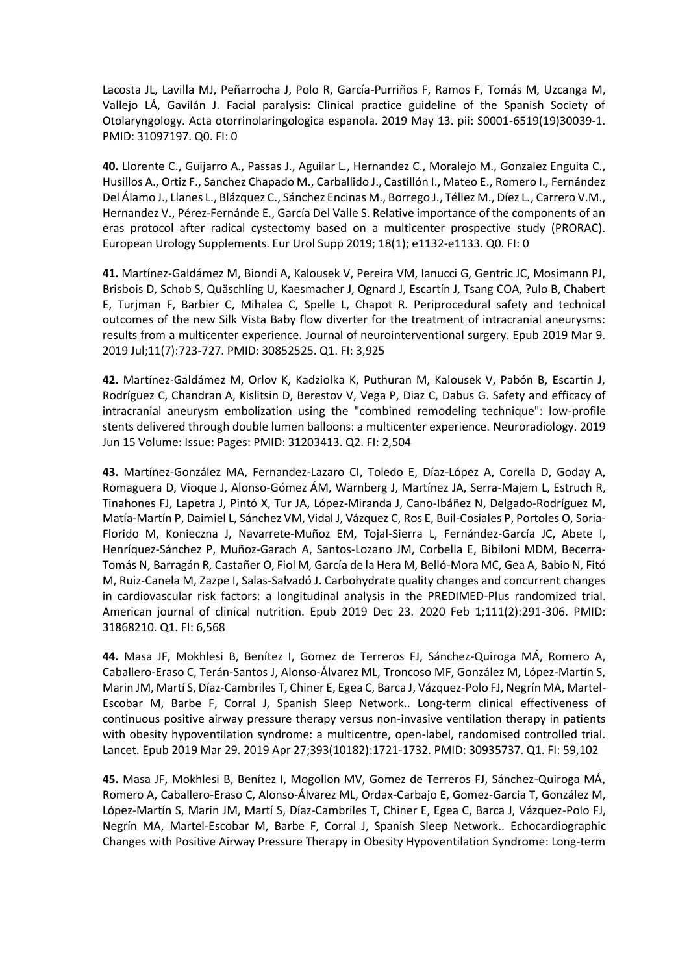Lacosta JL, Lavilla MJ, Peñarrocha J, Polo R, García-Purriños F, Ramos F, Tomás M, Uzcanga M, Vallejo LÁ, Gavilán J. Facial paralysis: Clinical practice guideline of the Spanish Society of Otolaryngology. Acta otorrinolaringologica espanola. 2019 May 13. pii: S0001-6519(19)30039-1. PMID: 31097197. Q0. FI: 0

**40.** Llorente C., Guijarro A., Passas J., Aguilar L., Hernandez C., Moralejo M., Gonzalez Enguita C., Husillos A., Ortiz F., Sanchez Chapado M., Carballido J., Castillón I., Mateo E., Romero I., Fernández Del Álamo J., Llanes L., Blázquez C., Sánchez Encinas M., Borrego J., Téllez M., Díez L., Carrero V.M., Hernandez V., Pérez-Fernánde E., García Del Valle S. Relative importance of the components of an eras protocol after radical cystectomy based on a multicenter prospective study (PRORAC). European Urology Supplements. Eur Urol Supp 2019; 18(1); e1132-e1133. Q0. FI: 0

**41.** Martínez-Galdámez M, Biondi A, Kalousek V, Pereira VM, Ianucci G, Gentric JC, Mosimann PJ, Brisbois D, Schob S, Quäschling U, Kaesmacher J, Ognard J, Escartín J, Tsang COA, ?ulo B, Chabert E, Turjman F, Barbier C, Mihalea C, Spelle L, Chapot R. Periprocedural safety and technical outcomes of the new Silk Vista Baby flow diverter for the treatment of intracranial aneurysms: results from a multicenter experience. Journal of neurointerventional surgery. Epub 2019 Mar 9. 2019 Jul;11(7):723-727. PMID: 30852525. Q1. FI: 3,925

**42.** Martínez-Galdámez M, Orlov K, Kadziolka K, Puthuran M, Kalousek V, Pabón B, Escartín J, Rodríguez C, Chandran A, Kislitsin D, Berestov V, Vega P, Diaz C, Dabus G. Safety and efficacy of intracranial aneurysm embolization using the "combined remodeling technique": low-profile stents delivered through double lumen balloons: a multicenter experience. Neuroradiology. 2019 Jun 15 Volume: Issue: Pages: PMID: 31203413. Q2. FI: 2,504

**43.** Martínez-González MA, Fernandez-Lazaro CI, Toledo E, Díaz-López A, Corella D, Goday A, Romaguera D, Vioque J, Alonso-Gómez ÁM, Wärnberg J, Martínez JA, Serra-Majem L, Estruch R, Tinahones FJ, Lapetra J, Pintó X, Tur JA, López-Miranda J, Cano-Ibáñez N, Delgado-Rodríguez M, Matía-Martín P, Daimiel L, Sánchez VM, Vidal J, Vázquez C, Ros E, Buil-Cosiales P, Portoles O, Soria-Florido M, Konieczna J, Navarrete-Muñoz EM, Tojal-Sierra L, Fernández-García JC, Abete I, Henríquez-Sánchez P, Muñoz-Garach A, Santos-Lozano JM, Corbella E, Bibiloni MDM, Becerra-Tomás N, Barragán R, Castañer O, Fiol M, García de la Hera M, Belló-Mora MC, Gea A, Babio N, Fitó M, Ruiz-Canela M, Zazpe I, Salas-Salvadó J. Carbohydrate quality changes and concurrent changes in cardiovascular risk factors: a longitudinal analysis in the PREDIMED-Plus randomized trial. American journal of clinical nutrition. Epub 2019 Dec 23. 2020 Feb 1;111(2):291-306. PMID: 31868210. Q1. FI: 6,568

**44.** Masa JF, Mokhlesi B, Benítez I, Gomez de Terreros FJ, Sánchez-Quiroga MÁ, Romero A, Caballero-Eraso C, Terán-Santos J, Alonso-Álvarez ML, Troncoso MF, González M, López-Martín S, Marin JM, Martí S, Díaz-Cambriles T, Chiner E, Egea C, Barca J, Vázquez-Polo FJ, Negrín MA, Martel-Escobar M, Barbe F, Corral J, Spanish Sleep Network.. Long-term clinical effectiveness of continuous positive airway pressure therapy versus non-invasive ventilation therapy in patients with obesity hypoventilation syndrome: a multicentre, open-label, randomised controlled trial. Lancet. Epub 2019 Mar 29. 2019 Apr 27;393(10182):1721-1732. PMID: 30935737. Q1. FI: 59,102

**45.** Masa JF, Mokhlesi B, Benítez I, Mogollon MV, Gomez de Terreros FJ, Sánchez-Quiroga MÁ, Romero A, Caballero-Eraso C, Alonso-Álvarez ML, Ordax-Carbajo E, Gomez-Garcia T, González M, López-Martín S, Marin JM, Martí S, Díaz-Cambriles T, Chiner E, Egea C, Barca J, Vázquez-Polo FJ, Negrín MA, Martel-Escobar M, Barbe F, Corral J, Spanish Sleep Network.. Echocardiographic Changes with Positive Airway Pressure Therapy in Obesity Hypoventilation Syndrome: Long-term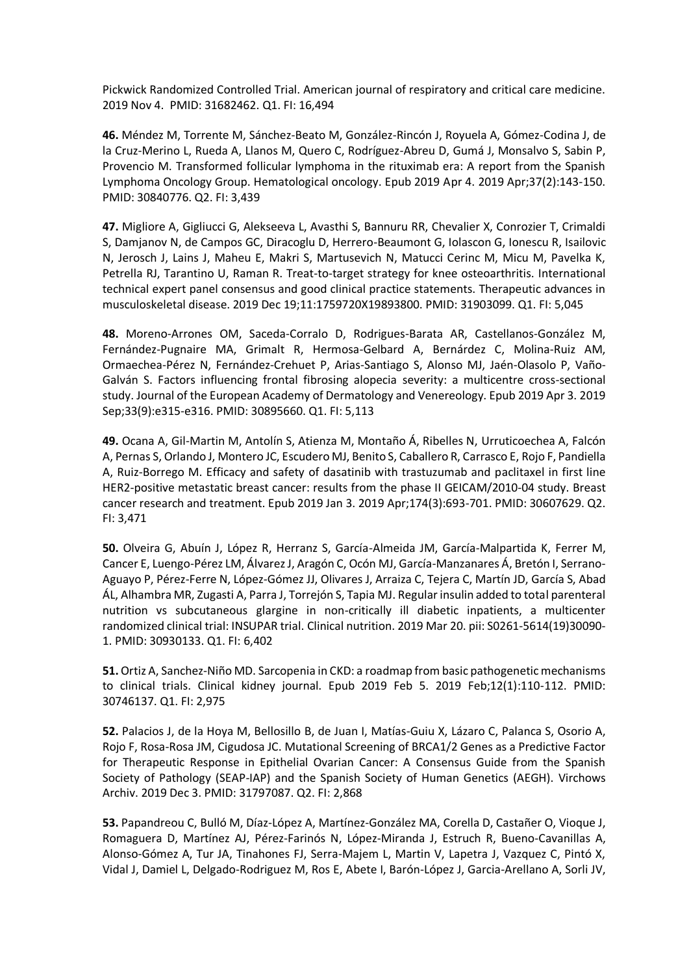Pickwick Randomized Controlled Trial. American journal of respiratory and critical care medicine. 2019 Nov 4. PMID: 31682462. Q1. FI: 16,494

**46.** Méndez M, Torrente M, Sánchez-Beato M, González-Rincón J, Royuela A, Gómez-Codina J, de la Cruz-Merino L, Rueda A, Llanos M, Quero C, Rodríguez-Abreu D, Gumá J, Monsalvo S, Sabin P, Provencio M. Transformed follicular lymphoma in the rituximab era: A report from the Spanish Lymphoma Oncology Group. Hematological oncology. Epub 2019 Apr 4. 2019 Apr;37(2):143-150. PMID: 30840776. Q2. FI: 3,439

**47.** Migliore A, Gigliucci G, Alekseeva L, Avasthi S, Bannuru RR, Chevalier X, Conrozier T, Crimaldi S, Damjanov N, de Campos GC, Diracoglu D, Herrero-Beaumont G, Iolascon G, Ionescu R, Isailovic N, Jerosch J, Lains J, Maheu E, Makri S, Martusevich N, Matucci Cerinc M, Micu M, Pavelka K, Petrella RJ, Tarantino U, Raman R. Treat-to-target strategy for knee osteoarthritis. International technical expert panel consensus and good clinical practice statements. Therapeutic advances in musculoskeletal disease. 2019 Dec 19;11:1759720X19893800. PMID: 31903099. Q1. FI: 5,045

**48.** Moreno-Arrones OM, Saceda-Corralo D, Rodrigues-Barata AR, Castellanos-González M, Fernández-Pugnaire MA, Grimalt R, Hermosa-Gelbard A, Bernárdez C, Molina-Ruiz AM, Ormaechea-Pérez N, Fernández-Crehuet P, Arias-Santiago S, Alonso MJ, Jaén-Olasolo P, Vaño-Galván S. Factors influencing frontal fibrosing alopecia severity: a multicentre cross-sectional study. Journal of the European Academy of Dermatology and Venereology. Epub 2019 Apr 3. 2019 Sep;33(9):e315-e316. PMID: 30895660. Q1. FI: 5,113

**49.** Ocana A, Gil-Martin M, Antolín S, Atienza M, Montaño Á, Ribelles N, Urruticoechea A, Falcón A, Pernas S, Orlando J, Montero JC, Escudero MJ, Benito S, Caballero R, Carrasco E, Rojo F, Pandiella A, Ruiz-Borrego M. Efficacy and safety of dasatinib with trastuzumab and paclitaxel in first line HER2-positive metastatic breast cancer: results from the phase II GEICAM/2010-04 study. Breast cancer research and treatment. Epub 2019 Jan 3. 2019 Apr;174(3):693-701. PMID: 30607629. Q2. FI: 3,471

**50.** Olveira G, Abuín J, López R, Herranz S, García-Almeida JM, García-Malpartida K, Ferrer M, Cancer E, Luengo-Pérez LM, Álvarez J, Aragón C, Ocón MJ, García-Manzanares Á, Bretón I, Serrano-Aguayo P, Pérez-Ferre N, López-Gómez JJ, Olivares J, Arraiza C, Tejera C, Martín JD, García S, Abad ÁL, Alhambra MR, Zugasti A, Parra J, Torrejón S, Tapia MJ. Regular insulin added to total parenteral nutrition vs subcutaneous glargine in non-critically ill diabetic inpatients, a multicenter randomized clinical trial: INSUPAR trial. Clinical nutrition. 2019 Mar 20. pii: S0261-5614(19)30090- 1. PMID: 30930133. Q1. FI: 6,402

**51.** Ortiz A, Sanchez-Niño MD. Sarcopenia in CKD: a roadmap from basic pathogenetic mechanisms to clinical trials. Clinical kidney journal. Epub 2019 Feb 5. 2019 Feb;12(1):110-112. PMID: 30746137. Q1. FI: 2,975

**52.** Palacios J, de la Hoya M, Bellosillo B, de Juan I, Matías-Guiu X, Lázaro C, Palanca S, Osorio A, Rojo F, Rosa-Rosa JM, Cigudosa JC. Mutational Screening of BRCA1/2 Genes as a Predictive Factor for Therapeutic Response in Epithelial Ovarian Cancer: A Consensus Guide from the Spanish Society of Pathology (SEAP-IAP) and the Spanish Society of Human Genetics (AEGH). Virchows Archiv. 2019 Dec 3. PMID: 31797087. Q2. FI: 2,868

**53.** Papandreou C, Bulló M, Díaz-López A, Martínez-González MA, Corella D, Castañer O, Vioque J, Romaguera D, Martínez AJ, Pérez-Farinós N, López-Miranda J, Estruch R, Bueno-Cavanillas A, Alonso-Gómez A, Tur JA, Tinahones FJ, Serra-Majem L, Martin V, Lapetra J, Vazquez C, Pintó X, Vidal J, Damiel L, Delgado-Rodriguez M, Ros E, Abete I, Barón-López J, Garcia-Arellano A, Sorli JV,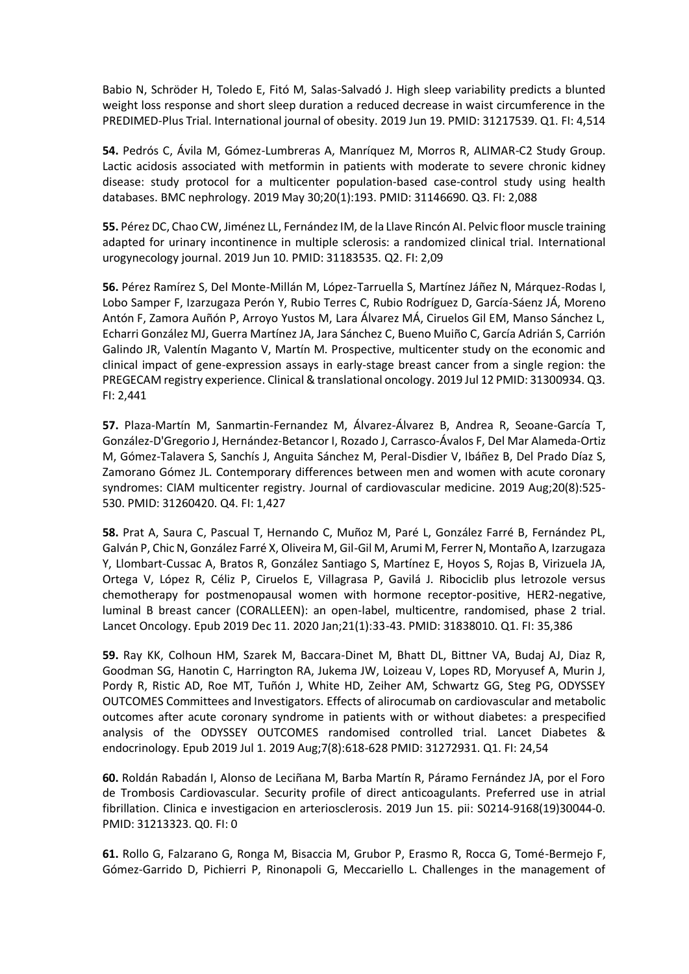Babio N, Schröder H, Toledo E, Fitó M, Salas-Salvadó J. High sleep variability predicts a blunted weight loss response and short sleep duration a reduced decrease in waist circumference in the PREDIMED-Plus Trial. International journal of obesity. 2019 Jun 19. PMID: 31217539. Q1. FI: 4,514

**54.** Pedrós C, Ávila M, Gómez-Lumbreras A, Manríquez M, Morros R, ALIMAR-C2 Study Group. Lactic acidosis associated with metformin in patients with moderate to severe chronic kidney disease: study protocol for a multicenter population-based case-control study using health databases. BMC nephrology. 2019 May 30;20(1):193. PMID: 31146690. Q3. FI: 2,088

**55.** Pérez DC, Chao CW, Jiménez LL, Fernández IM, de la Llave Rincón AI. Pelvic floor muscle training adapted for urinary incontinence in multiple sclerosis: a randomized clinical trial. International urogynecology journal. 2019 Jun 10. PMID: 31183535. Q2. FI: 2,09

**56.** Pérez Ramírez S, Del Monte-Millán M, López-Tarruella S, Martínez Jáñez N, Márquez-Rodas I, Lobo Samper F, Izarzugaza Perón Y, Rubio Terres C, Rubio Rodríguez D, García-Sáenz JÁ, Moreno Antón F, Zamora Auñón P, Arroyo Yustos M, Lara Álvarez MÁ, Ciruelos Gil EM, Manso Sánchez L, Echarri González MJ, Guerra Martínez JA, Jara Sánchez C, Bueno Muiño C, García Adrián S, Carrión Galindo JR, Valentín Maganto V, Martín M. Prospective, multicenter study on the economic and clinical impact of gene-expression assays in early-stage breast cancer from a single region: the PREGECAM registry experience. Clinical & translational oncology. 2019 Jul 12 PMID: 31300934. Q3. FI: 2,441

**57.** Plaza-Martín M, Sanmartin-Fernandez M, Álvarez-Álvarez B, Andrea R, Seoane-García T, González-D'Gregorio J, Hernández-Betancor I, Rozado J, Carrasco-Ávalos F, Del Mar Alameda-Ortiz M, Gómez-Talavera S, Sanchís J, Anguita Sánchez M, Peral-Disdier V, Ibáñez B, Del Prado Díaz S, Zamorano Gómez JL. Contemporary differences between men and women with acute coronary syndromes: CIAM multicenter registry. Journal of cardiovascular medicine. 2019 Aug;20(8):525- 530. PMID: 31260420. Q4. FI: 1,427

**58.** Prat A, Saura C, Pascual T, Hernando C, Muñoz M, Paré L, González Farré B, Fernández PL, Galván P, Chic N, González Farré X, Oliveira M, Gil-Gil M, Arumi M, Ferrer N, Montaño A, Izarzugaza Y, Llombart-Cussac A, Bratos R, González Santiago S, Martínez E, Hoyos S, Rojas B, Virizuela JA, Ortega V, López R, Céliz P, Ciruelos E, Villagrasa P, Gavilá J. Ribociclib plus letrozole versus chemotherapy for postmenopausal women with hormone receptor-positive, HER2-negative, luminal B breast cancer (CORALLEEN): an open-label, multicentre, randomised, phase 2 trial. Lancet Oncology. Epub 2019 Dec 11. 2020 Jan;21(1):33-43. PMID: 31838010. Q1. FI: 35,386

**59.** Ray KK, Colhoun HM, Szarek M, Baccara-Dinet M, Bhatt DL, Bittner VA, Budaj AJ, Diaz R, Goodman SG, Hanotin C, Harrington RA, Jukema JW, Loizeau V, Lopes RD, Moryusef A, Murin J, Pordy R, Ristic AD, Roe MT, Tuñón J, White HD, Zeiher AM, Schwartz GG, Steg PG, ODYSSEY OUTCOMES Committees and Investigators. Effects of alirocumab on cardiovascular and metabolic outcomes after acute coronary syndrome in patients with or without diabetes: a prespecified analysis of the ODYSSEY OUTCOMES randomised controlled trial. Lancet Diabetes & endocrinology. Epub 2019 Jul 1. 2019 Aug;7(8):618-628 PMID: 31272931. Q1. FI: 24,54

**60.** Roldán Rabadán I, Alonso de Leciñana M, Barba Martín R, Páramo Fernández JA, por el Foro de Trombosis Cardiovascular. Security profile of direct anticoagulants. Preferred use in atrial fibrillation. Clinica e investigacion en arteriosclerosis. 2019 Jun 15. pii: S0214-9168(19)30044-0. PMID: 31213323. Q0. FI: 0

**61.** Rollo G, Falzarano G, Ronga M, Bisaccia M, Grubor P, Erasmo R, Rocca G, Tomé-Bermejo F, Gómez-Garrido D, Pichierri P, Rinonapoli G, Meccariello L. Challenges in the management of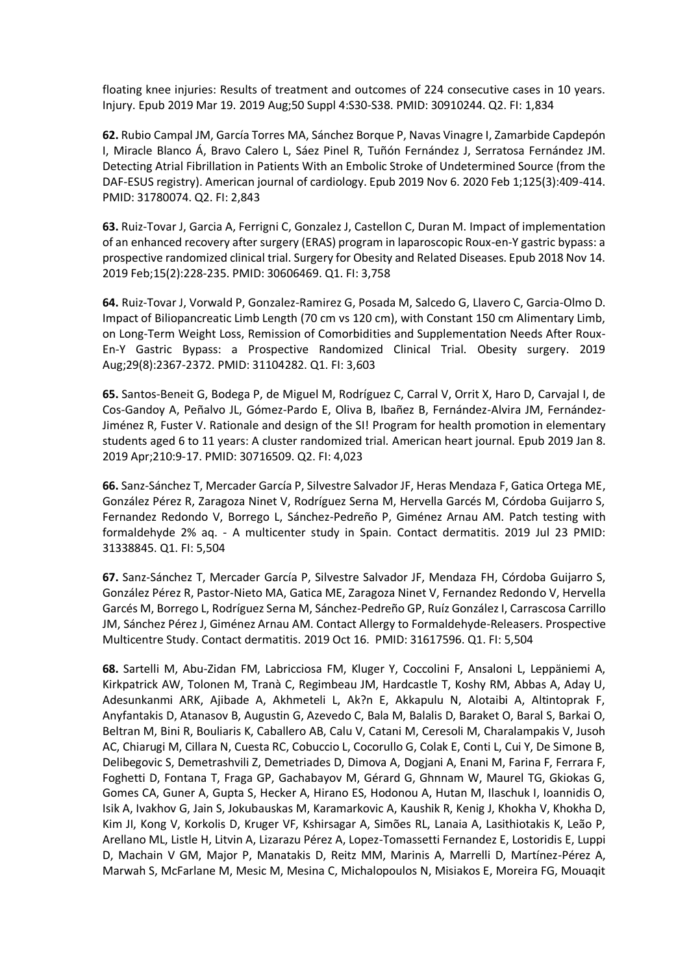floating knee injuries: Results of treatment and outcomes of 224 consecutive cases in 10 years. Injury. Epub 2019 Mar 19. 2019 Aug;50 Suppl 4:S30-S38. PMID: 30910244. Q2. FI: 1,834

**62.** Rubio Campal JM, García Torres MA, Sánchez Borque P, Navas Vinagre I, Zamarbide Capdepón I, Miracle Blanco Á, Bravo Calero L, Sáez Pinel R, Tuñón Fernández J, Serratosa Fernández JM. Detecting Atrial Fibrillation in Patients With an Embolic Stroke of Undetermined Source (from the DAF-ESUS registry). American journal of cardiology. Epub 2019 Nov 6. 2020 Feb 1;125(3):409-414. PMID: 31780074. Q2. FI: 2,843

**63.** Ruiz-Tovar J, Garcia A, Ferrigni C, Gonzalez J, Castellon C, Duran M. Impact of implementation of an enhanced recovery after surgery (ERAS) program in laparoscopic Roux-en-Y gastric bypass: a prospective randomized clinical trial. Surgery for Obesity and Related Diseases. Epub 2018 Nov 14. 2019 Feb;15(2):228-235. PMID: 30606469. Q1. FI: 3,758

**64.** Ruiz-Tovar J, Vorwald P, Gonzalez-Ramirez G, Posada M, Salcedo G, Llavero C, Garcia-Olmo D. Impact of Biliopancreatic Limb Length (70 cm vs 120 cm), with Constant 150 cm Alimentary Limb, on Long-Term Weight Loss, Remission of Comorbidities and Supplementation Needs After Roux-En-Y Gastric Bypass: a Prospective Randomized Clinical Trial. Obesity surgery. 2019 Aug;29(8):2367-2372. PMID: 31104282. Q1. FI: 3,603

**65.** Santos-Beneit G, Bodega P, de Miguel M, Rodríguez C, Carral V, Orrit X, Haro D, Carvajal I, de Cos-Gandoy A, Peñalvo JL, Gómez-Pardo E, Oliva B, Ibañez B, Fernández-Alvira JM, Fernández-Jiménez R, Fuster V. Rationale and design of the SI! Program for health promotion in elementary students aged 6 to 11 years: A cluster randomized trial. American heart journal. Epub 2019 Jan 8. 2019 Apr;210:9-17. PMID: 30716509. Q2. FI: 4,023

**66.** Sanz-Sánchez T, Mercader García P, Silvestre Salvador JF, Heras Mendaza F, Gatica Ortega ME, González Pérez R, Zaragoza Ninet V, Rodríguez Serna M, Hervella Garcés M, Córdoba Guijarro S, Fernandez Redondo V, Borrego L, Sánchez-Pedreño P, Giménez Arnau AM. Patch testing with formaldehyde 2% aq. - A multicenter study in Spain. Contact dermatitis. 2019 Jul 23 PMID: 31338845. Q1. FI: 5,504

**67.** Sanz-Sánchez T, Mercader García P, Silvestre Salvador JF, Mendaza FH, Córdoba Guijarro S, González Pérez R, Pastor-Nieto MA, Gatica ME, Zaragoza Ninet V, Fernandez Redondo V, Hervella Garcés M, Borrego L, Rodríguez Serna M, Sánchez-Pedreño GP, Ruíz González I, Carrascosa Carrillo JM, Sánchez Pérez J, Giménez Arnau AM. Contact Allergy to Formaldehyde-Releasers. Prospective Multicentre Study. Contact dermatitis. 2019 Oct 16. PMID: 31617596. Q1. FI: 5,504

**68.** Sartelli M, Abu-Zidan FM, Labricciosa FM, Kluger Y, Coccolini F, Ansaloni L, Leppäniemi A, Kirkpatrick AW, Tolonen M, Tranà C, Regimbeau JM, Hardcastle T, Koshy RM, Abbas A, Aday U, Adesunkanmi ARK, Ajibade A, Akhmeteli L, Ak?n E, Akkapulu N, Alotaibi A, Altintoprak F, Anyfantakis D, Atanasov B, Augustin G, Azevedo C, Bala M, Balalis D, Baraket O, Baral S, Barkai O, Beltran M, Bini R, Bouliaris K, Caballero AB, Calu V, Catani M, Ceresoli M, Charalampakis V, Jusoh AC, Chiarugi M, Cillara N, Cuesta RC, Cobuccio L, Cocorullo G, Colak E, Conti L, Cui Y, De Simone B, Delibegovic S, Demetrashvili Z, Demetriades D, Dimova A, Dogjani A, Enani M, Farina F, Ferrara F, Foghetti D, Fontana T, Fraga GP, Gachabayov M, Gérard G, Ghnnam W, Maurel TG, Gkiokas G, Gomes CA, Guner A, Gupta S, Hecker A, Hirano ES, Hodonou A, Hutan M, Ilaschuk I, Ioannidis O, Isik A, Ivakhov G, Jain S, Jokubauskas M, Karamarkovic A, Kaushik R, Kenig J, Khokha V, Khokha D, Kim JI, Kong V, Korkolis D, Kruger VF, Kshirsagar A, Simões RL, Lanaia A, Lasithiotakis K, Leão P, Arellano ML, Listle H, Litvin A, Lizarazu Pérez A, Lopez-Tomassetti Fernandez E, Lostoridis E, Luppi D, Machain V GM, Major P, Manatakis D, Reitz MM, Marinis A, Marrelli D, Martínez-Pérez A, Marwah S, McFarlane M, Mesic M, Mesina C, Michalopoulos N, Misiakos E, Moreira FG, Mouaqit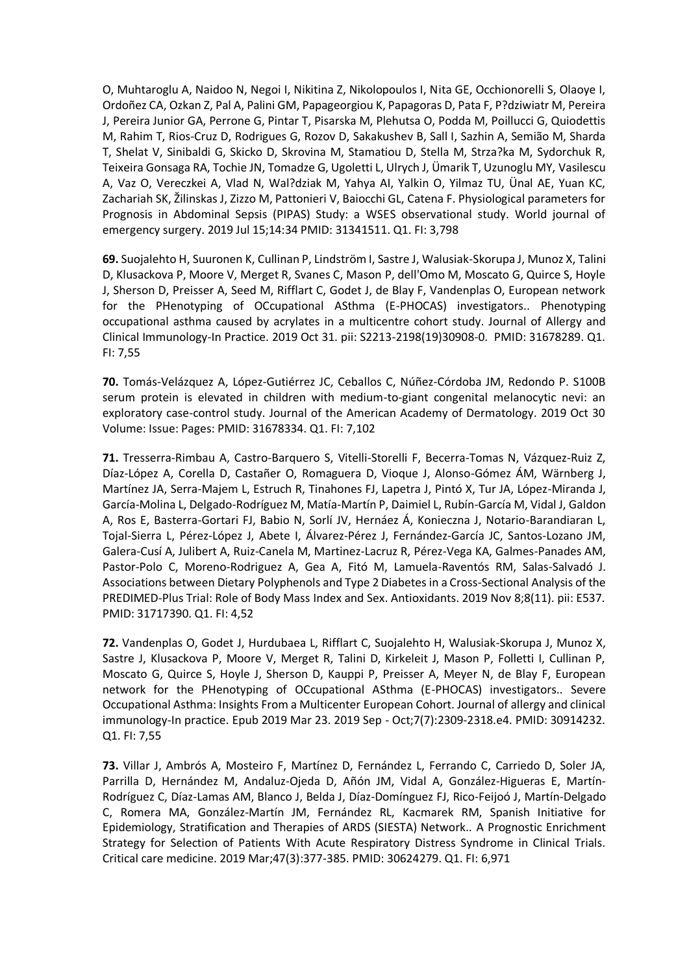O, Muhtaroglu A, Naidoo N, Negoi I, Nikitina Z, Nikolopoulos I, Nita GE, Occhionorelli S, Olaoye I, Ordoñez CA, Ozkan Z, Pal A, Palini GM, Papageorgiou K, Papagoras D, Pata F, P?dziwiatr M, Pereira J, Pereira Junior GA, Perrone G, Pintar T, Pisarska M, Plehutsa O, Podda M, Poillucci G, Quiodettis M, Rahim T, Rios-Cruz D, Rodrigues G, Rozov D, Sakakushev B, Sall I, Sazhin A, Semião M, Sharda T, Shelat V, Sinibaldi G, Skicko D, Skrovina M, Stamatiou D, Stella M, Strza?ka M, Sydorchuk R, Teixeira Gonsaga RA, Tochie JN, Tomadze G, Ugoletti L, Ulrych J, Ümarik T, Uzunoglu MY, Vasilescu A, Vaz O, Vereczkei A, Vlad N, Wal?dziak M, Yahya AI, Yalkin O, Yilmaz TU, Ünal AE, Yuan KC, Zachariah SK, Žilinskas J, Zizzo M, Pattonieri V, Baiocchi GL, Catena F. Physiological parameters for Prognosis in Abdominal Sepsis (PIPAS) Study: a WSES observational study. World journal of emergency surgery. 2019 Jul 15;14:34 PMID: 31341511. Q1. FI: 3,798

**69.** Suojalehto H, Suuronen K, Cullinan P, Lindström I, Sastre J, Walusiak-Skorupa J, Munoz X, Talini D, Klusackova P, Moore V, Merget R, Svanes C, Mason P, dell'Omo M, Moscato G, Quirce S, Hoyle J, Sherson D, Preisser A, Seed M, Rifflart C, Godet J, de Blay F, Vandenplas O, European network for the PHenotyping of OCcupational ASthma (E-PHOCAS) investigators.. Phenotyping occupational asthma caused by acrylates in a multicentre cohort study. Journal of Allergy and Clinical Immunology-In Practice. 2019 Oct 31. pii: S2213-2198(19)30908-0. PMID: 31678289. Q1. FI: 7,55

**70.** Tomás-Velázquez A, López-Gutiérrez JC, Ceballos C, Núñez-Córdoba JM, Redondo P. S100B serum protein is elevated in children with medium-to-giant congenital melanocytic nevi: an exploratory case-control study. Journal of the American Academy of Dermatology. 2019 Oct 30 Volume: Issue: Pages: PMID: 31678334. Q1. FI: 7,102

**71.** Tresserra-Rimbau A, Castro-Barquero S, Vitelli-Storelli F, Becerra-Tomas N, Vázquez-Ruiz Z, Díaz-López A, Corella D, Castañer O, Romaguera D, Vioque J, Alonso-Gómez ÁM, Wärnberg J, Martínez JA, Serra-Majem L, Estruch R, Tinahones FJ, Lapetra J, Pintó X, Tur JA, López-Miranda J, García-Molina L, Delgado-Rodríguez M, Matía-Martín P, Daimiel L, Rubín-García M, Vidal J, Galdon A, Ros E, Basterra-Gortari FJ, Babio N, Sorlí JV, Hernáez Á, Konieczna J, Notario-Barandiaran L, Tojal-Sierra L, Pérez-López J, Abete I, Álvarez-Pérez J, Fernández-García JC, Santos-Lozano JM, Galera-Cusí A, Julibert A, Ruiz-Canela M, Martinez-Lacruz R, Pérez-Vega KA, Galmes-Panades AM, Pastor-Polo C, Moreno-Rodriguez A, Gea A, Fitó M, Lamuela-Raventós RM, Salas-Salvadó J. Associations between Dietary Polyphenols and Type 2 Diabetes in a Cross-Sectional Analysis of the PREDIMED-Plus Trial: Role of Body Mass Index and Sex. Antioxidants. 2019 Nov 8;8(11). pii: E537. PMID: 31717390. Q1. FI: 4,52

**72.** Vandenplas O, Godet J, Hurdubaea L, Rifflart C, Suojalehto H, Walusiak-Skorupa J, Munoz X, Sastre J, Klusackova P, Moore V, Merget R, Talini D, Kirkeleit J, Mason P, Folletti I, Cullinan P, Moscato G, Quirce S, Hoyle J, Sherson D, Kauppi P, Preisser A, Meyer N, de Blay F, European network for the PHenotyping of OCcupational ASthma (E-PHOCAS) investigators.. Severe Occupational Asthma: Insights From a Multicenter European Cohort. Journal of allergy and clinical immunology-In practice. Epub 2019 Mar 23. 2019 Sep - Oct;7(7):2309-2318.e4. PMID: 30914232. Q1. FI: 7,55

**73.** Villar J, Ambrós A, Mosteiro F, Martínez D, Fernández L, Ferrando C, Carriedo D, Soler JA, Parrilla D, Hernández M, Andaluz-Ojeda D, Añón JM, Vidal A, González-Higueras E, Martín-Rodríguez C, Díaz-Lamas AM, Blanco J, Belda J, Díaz-Domínguez FJ, Rico-Feijoó J, Martín-Delgado C, Romera MA, González-Martín JM, Fernández RL, Kacmarek RM, Spanish Initiative for Epidemiology, Stratification and Therapies of ARDS (SIESTA) Network.. A Prognostic Enrichment Strategy for Selection of Patients With Acute Respiratory Distress Syndrome in Clinical Trials. Critical care medicine. 2019 Mar;47(3):377-385. PMID: 30624279. Q1. FI: 6,971